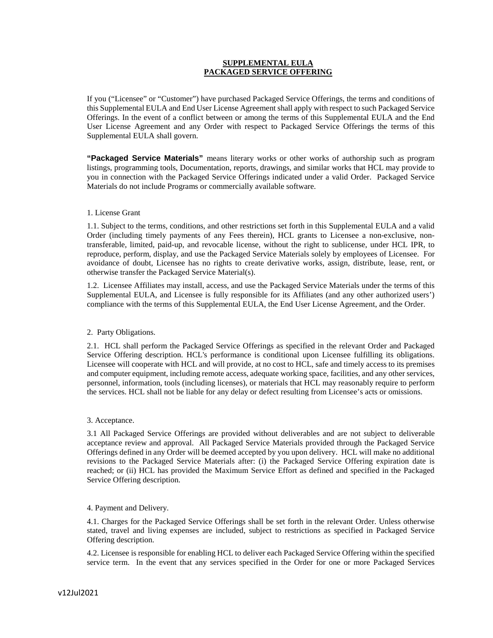# **SUPPLEMENTAL EULA PACKAGED SERVICE OFFERING**

If you ("Licensee" or "Customer") have purchased Packaged Service Offerings, the terms and conditions of this Supplemental EULA and End User License Agreement shall apply with respect to such Packaged Service Offerings. In the event of a conflict between or among the terms of this Supplemental EULA and the End User License Agreement and any Order with respect to Packaged Service Offerings the terms of this Supplemental EULA shall govern.

**"Packaged Service Materials"** means literary works or other works of authorship such as program listings, programming tools, Documentation, reports, drawings, and similar works that HCL may provide to you in connection with the Packaged Service Offerings indicated under a valid Order. Packaged Service Materials do not include Programs or commercially available software.

## 1. License Grant

1.1. Subject to the terms, conditions, and other restrictions set forth in this Supplemental EULA and a valid Order (including timely payments of any Fees therein), HCL grants to Licensee a non-exclusive, nontransferable, limited, paid-up, and revocable license, without the right to sublicense, under HCL IPR, to reproduce, perform, display, and use the Packaged Service Materials solely by employees of Licensee. For avoidance of doubt, Licensee has no rights to create derivative works, assign, distribute, lease, rent, or otherwise transfer the Packaged Service Material(s).

1.2. Licensee Affiliates may install, access, and use the Packaged Service Materials under the terms of this Supplemental EULA, and Licensee is fully responsible for its Affiliates (and any other authorized users') compliance with the terms of this Supplemental EULA, the End User License Agreement, and the Order.

### 2. Party Obligations.

2.1. HCL shall perform the Packaged Service Offerings as specified in the relevant Order and Packaged Service Offering description. HCL's performance is conditional upon Licensee fulfilling its obligations. Licensee will cooperate with HCL and will provide, at no cost to HCL, safe and timely access to its premises and computer equipment, including remote access, adequate working space, facilities, and any other services, personnel, information, tools (including licenses), or materials that HCL may reasonably require to perform the services. HCL shall not be liable for any delay or defect resulting from Licensee's acts or omissions.

### 3. Acceptance.

3.1 All Packaged Service Offerings are provided without deliverables and are not subject to deliverable acceptance review and approval. All Packaged Service Materials provided through the Packaged Service Offerings defined in any Order will be deemed accepted by you upon delivery. HCL will make no additional revisions to the Packaged Service Materials after: (i) the Packaged Service Offering expiration date is reached; or (ii) HCL has provided the Maximum Service Effort as defined and specified in the Packaged Service Offering description.

### 4. Payment and Delivery.

4.1. Charges for the Packaged Service Offerings shall be set forth in the relevant Order. Unless otherwise stated, travel and living expenses are included, subject to restrictions as specified in Packaged Service Offering description.

4.2. Licensee is responsible for enabling HCL to deliver each Packaged Service Offering within the specified service term. In the event that any services specified in the Order for one or more Packaged Services